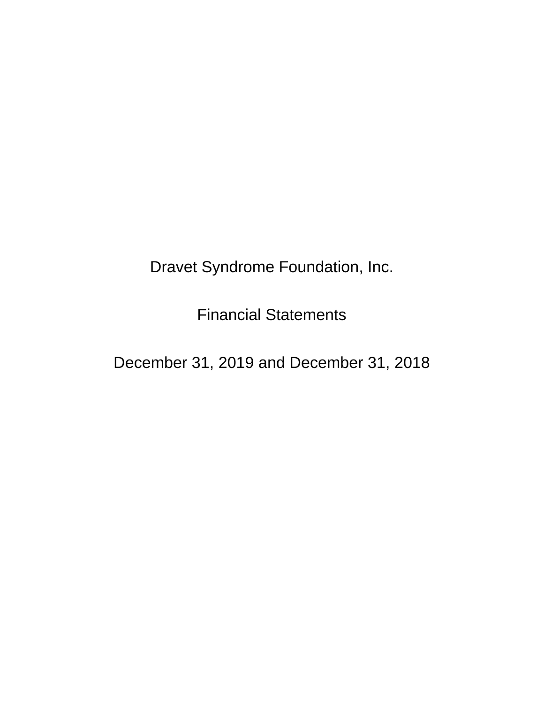Dravet Syndrome Foundation, Inc.

Financial Statements

December 31, 2019 and December 31, 2018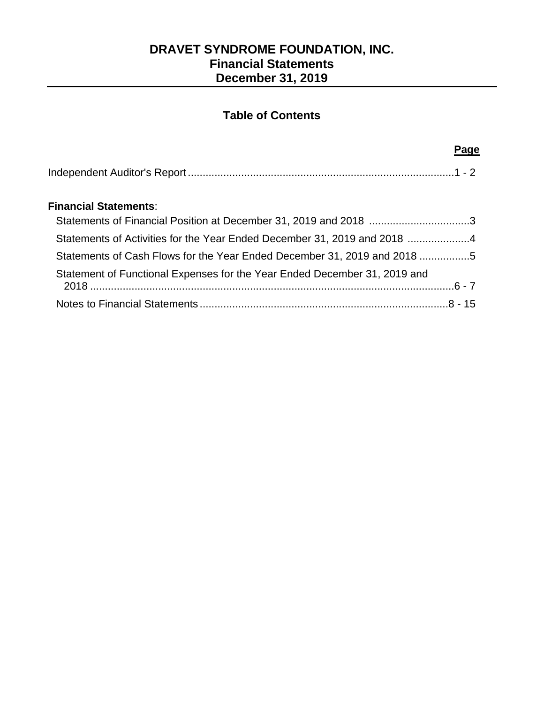# **Table of Contents**

**Page**

| <b>Financial Statements:</b>                                              |
|---------------------------------------------------------------------------|
| Statements of Financial Position at December 31, 2019 and 2018 3          |
| Statements of Activities for the Year Ended December 31, 2019 and 2018 4  |
| Statements of Cash Flows for the Year Ended December 31, 2019 and 2018 5  |
| Statement of Functional Expenses for the Year Ended December 31, 2019 and |
|                                                                           |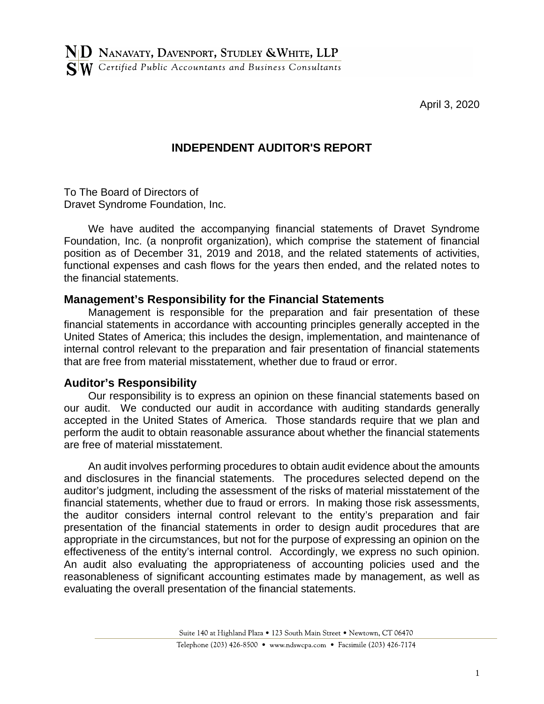April 3, 2020

# **INDEPENDENT AUDITOR'S REPORT**

To The Board of Directors of Dravet Syndrome Foundation, Inc.

We have audited the accompanying financial statements of Dravet Syndrome Foundation, Inc. (a nonprofit organization), which comprise the statement of financial position as of December 31, 2019 and 2018, and the related statements of activities, functional expenses and cash flows for the years then ended, and the related notes to the financial statements.

## **Management's Responsibility for the Financial Statements**

Management is responsible for the preparation and fair presentation of these financial statements in accordance with accounting principles generally accepted in the United States of America; this includes the design, implementation, and maintenance of internal control relevant to the preparation and fair presentation of financial statements that are free from material misstatement, whether due to fraud or error.

#### **Auditor's Responsibility**

Our responsibility is to express an opinion on these financial statements based on our audit. We conducted our audit in accordance with auditing standards generally accepted in the United States of America. Those standards require that we plan and perform the audit to obtain reasonable assurance about whether the financial statements are free of material misstatement.

An audit involves performing procedures to obtain audit evidence about the amounts and disclosures in the financial statements. The procedures selected depend on the auditor's judgment, including the assessment of the risks of material misstatement of the financial statements, whether due to fraud or errors. In making those risk assessments, the auditor considers internal control relevant to the entity's preparation and fair presentation of the financial statements in order to design audit procedures that are appropriate in the circumstances, but not for the purpose of expressing an opinion on the effectiveness of the entity's internal control. Accordingly, we express no such opinion. An audit also evaluating the appropriateness of accounting policies used and the reasonableness of significant accounting estimates made by management, as well as evaluating the overall presentation of the financial statements.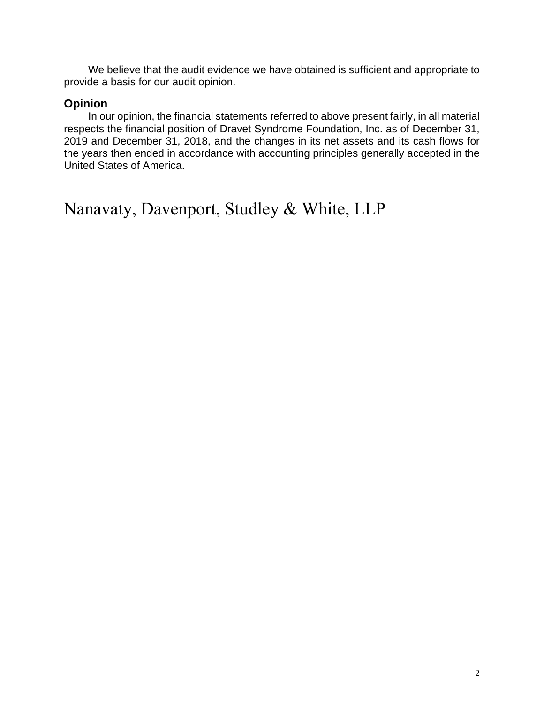We believe that the audit evidence we have obtained is sufficient and appropriate to provide a basis for our audit opinion.

## **Opinion**

In our opinion, the financial statements referred to above present fairly, in all material respects the financial position of Dravet Syndrome Foundation, Inc. as of December 31, 2019 and December 31, 2018, and the changes in its net assets and its cash flows for the years then ended in accordance with accounting principles generally accepted in the United States of America.

Nanavaty, Davenport, Studley & White, LLP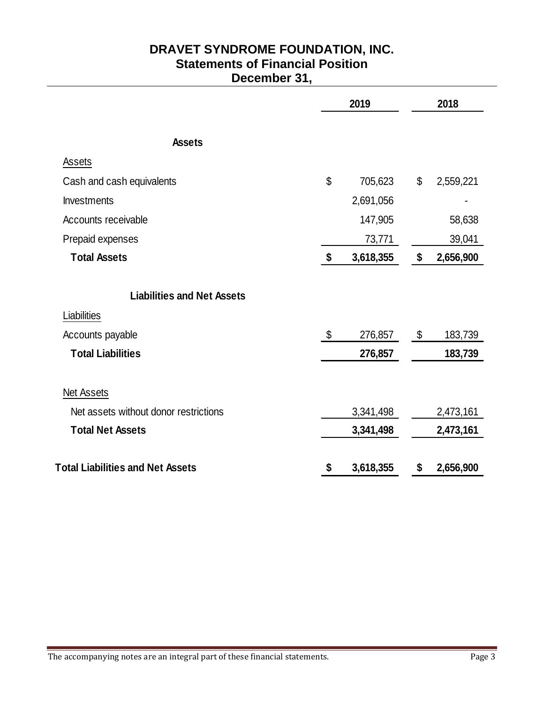# **DRAVET SYNDROME FOUNDATION, INC. Statements of Financial Position December 31,**

|                                                  | 2019  |           |    | 2018      |  |  |
|--------------------------------------------------|-------|-----------|----|-----------|--|--|
| <b>Assets</b>                                    |       |           |    |           |  |  |
| Assets                                           |       |           |    |           |  |  |
| Cash and cash equivalents                        | \$    | 705,623   | \$ | 2,559,221 |  |  |
| <b>Investments</b>                               |       | 2,691,056 |    |           |  |  |
| Accounts receivable                              |       | 147,905   |    | 58,638    |  |  |
| Prepaid expenses                                 |       | 73,771    |    | 39,041    |  |  |
| <b>Total Assets</b>                              | \$    | 3,618,355 | \$ | 2,656,900 |  |  |
| <b>Liabilities and Net Assets</b><br>Liabilities |       |           |    |           |  |  |
| Accounts payable                                 | $\$\$ | 276,857   | \$ | 183,739   |  |  |
| <b>Total Liabilities</b>                         |       | 276,857   |    | 183,739   |  |  |
| Net Assets                                       |       |           |    |           |  |  |
| Net assets without donor restrictions            |       | 3,341,498 |    | 2,473,161 |  |  |
| <b>Total Net Assets</b>                          |       | 3,341,498 |    | 2,473,161 |  |  |
| <b>Total Liabilities and Net Assets</b>          | S     | 3,618,355 | \$ | 2,656,900 |  |  |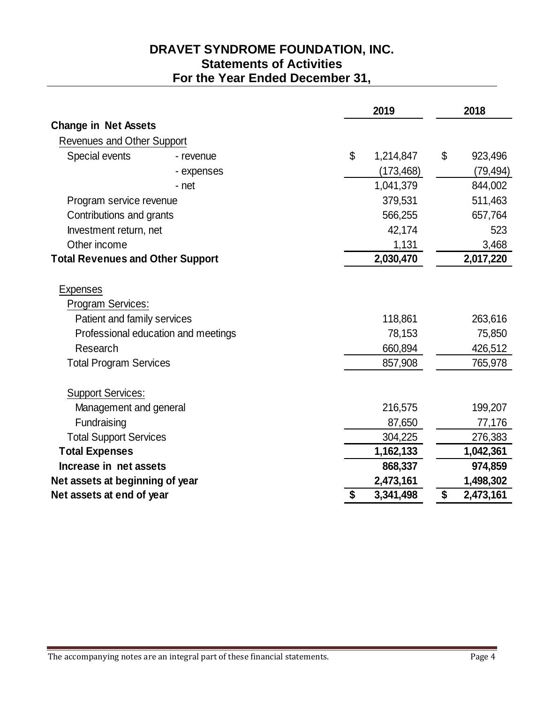# **DRAVET SYNDROME FOUNDATION, INC. Statements of Activities For the Year Ended December 31,**

|                                             |            | 2019 |           |    | 2018      |  |  |
|---------------------------------------------|------------|------|-----------|----|-----------|--|--|
| <b>Change in Net Assets</b>                 |            |      |           |    |           |  |  |
| <b>Revenues and Other Support</b>           |            |      |           |    |           |  |  |
| Special events                              | - revenue  | \$   | 1,214,847 | \$ | 923,496   |  |  |
|                                             | - expenses |      | (173,468) |    | (79, 494) |  |  |
|                                             | - net      |      | 1,041,379 |    | 844,002   |  |  |
| Program service revenue                     |            |      | 379,531   |    | 511,463   |  |  |
| Contributions and grants                    |            |      | 566,255   |    | 657,764   |  |  |
| Investment return, net                      |            |      | 42,174    |    | 523       |  |  |
| Other income                                |            |      | 1,131     |    | 3,468     |  |  |
| <b>Total Revenues and Other Support</b>     |            |      | 2,030,470 |    | 2,017,220 |  |  |
| <b>Expenses</b><br><b>Program Services:</b> |            |      |           |    |           |  |  |
| Patient and family services                 |            |      | 118,861   |    | 263,616   |  |  |
| Professional education and meetings         |            |      | 78,153    |    | 75,850    |  |  |
| Research                                    |            |      | 660,894   |    | 426,512   |  |  |
| <b>Total Program Services</b>               |            |      | 857,908   |    | 765,978   |  |  |
| <b>Support Services:</b>                    |            |      |           |    |           |  |  |
| Management and general                      |            |      | 216,575   |    | 199,207   |  |  |
| Fundraising                                 |            |      | 87,650    |    | 77,176    |  |  |
| <b>Total Support Services</b>               |            |      | 304,225   |    | 276,383   |  |  |
| <b>Total Expenses</b>                       |            |      | 1,162,133 |    | 1,042,361 |  |  |
| Increase in net assets                      |            |      | 868,337   |    | 974,859   |  |  |
| Net assets at beginning of year             |            |      | 2,473,161 |    | 1,498,302 |  |  |
| Net assets at end of year                   |            | \$   | 3,341,498 | \$ | 2,473,161 |  |  |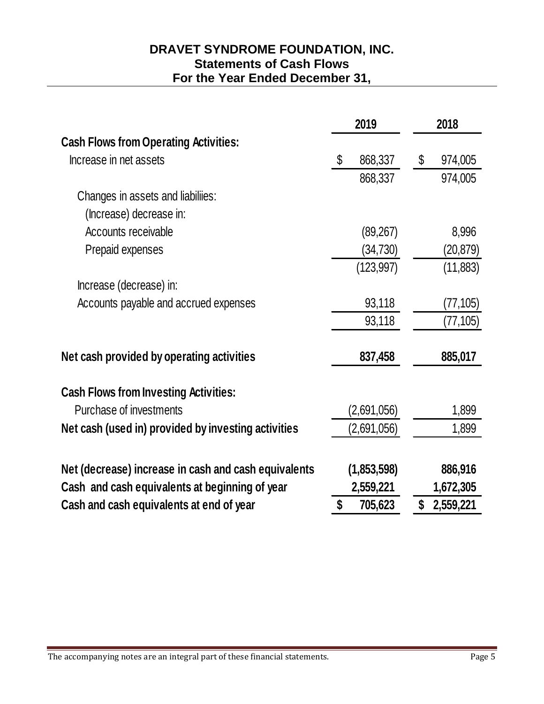# **DRAVET SYNDROME FOUNDATION, INC. Statements of Cash Flows For the Year Ended December 31,**

|                                                      | 2019             | 2018            |  |  |
|------------------------------------------------------|------------------|-----------------|--|--|
| <b>Cash Flows from Operating Activities:</b>         |                  |                 |  |  |
| Increase in net assets                               | $\$\$<br>868,337 | \$<br>974,005   |  |  |
|                                                      | 868,337          | 974,005         |  |  |
| Changes in assets and liabiliies:                    |                  |                 |  |  |
| (Increase) decrease in:                              |                  |                 |  |  |
| Accounts receivable                                  | (89, 267)        | 8,996           |  |  |
| Prepaid expenses                                     | (34, 730)        | (20, 879)       |  |  |
|                                                      | (123, 997)       | (11, 883)       |  |  |
| Increase (decrease) in:                              |                  |                 |  |  |
| Accounts payable and accrued expenses                | 93,118           | (77, 105)       |  |  |
|                                                      | 93,118           | (77,105)        |  |  |
| Net cash provided by operating activities            | 837,458          | 885,017         |  |  |
| <b>Cash Flows from Investing Activities:</b>         |                  |                 |  |  |
| Purchase of investments                              | (2,691,056)      | 1,899           |  |  |
| Net cash (used in) provided by investing activities  | (2,691,056)      | 1,899           |  |  |
| Net (decrease) increase in cash and cash equivalents | (1,853,598)      | 886,916         |  |  |
| Cash and cash equivalents at beginning of year       | 2,559,221        | 1,672,305       |  |  |
| Cash and cash equivalents at end of year             | 705,623<br>\$    | \$<br>2,559,221 |  |  |
|                                                      |                  |                 |  |  |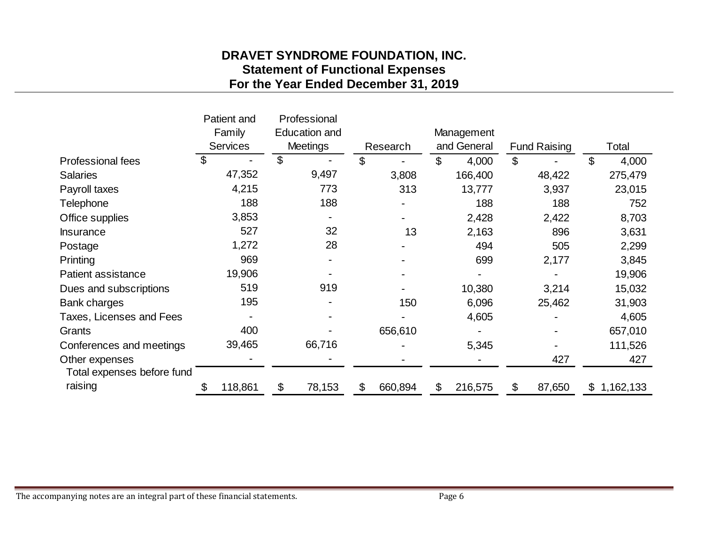# **DRAVET SYNDROME FOUNDATION, INC. Statement of Functional Expenses For the Year Ended December 31, 2019**

|                            | Patient and     |        | Professional         |                          |               |                |                     |                 |
|----------------------------|-----------------|--------|----------------------|--------------------------|---------------|----------------|---------------------|-----------------|
|                            | Family          |        | <b>Education and</b> |                          | Management    |                |                     |                 |
|                            | <b>Services</b> |        | <b>Meetings</b>      | Research                 | and General   |                | <b>Fund Raising</b> | Total           |
| <b>Professional fees</b>   | \$              |        | \$                   | \$                       | \$<br>4,000   | $\mathfrak{L}$ |                     | \$<br>4,000     |
| <b>Salaries</b>            |                 | 47,352 | 9,497                | 3,808                    | 166,400       |                | 48,422              | 275,479         |
| Payroll taxes              |                 | 4,215  | 773                  | 313                      | 13,777        |                | 3,937               | 23,015          |
| Telephone                  |                 | 188    | 188                  |                          | 188           |                | 188                 | 752             |
| Office supplies            |                 | 3,853  |                      |                          | 2,428         |                | 2,422               | 8,703           |
| <b>Insurance</b>           |                 | 527    | 32                   | 13                       | 2,163         |                | 896                 | 3,631           |
| Postage                    |                 | 1,272  | 28                   |                          | 494           |                | 505                 | 2,299           |
| Printing                   |                 | 969    | $\blacksquare$       |                          | 699           |                | 2,177               | 3,845           |
| Patient assistance         |                 | 19,906 |                      | $\overline{\phantom{a}}$ |               |                |                     | 19,906          |
| Dues and subscriptions     |                 | 519    | 919                  |                          | 10,380        |                | 3,214               | 15,032          |
| Bank charges               |                 | 195    |                      | 150                      | 6,096         |                | 25,462              | 31,903          |
| Taxes, Licenses and Fees   |                 |        |                      |                          | 4,605         |                |                     | 4,605           |
| Grants                     |                 | 400    |                      | 656,610                  |               |                |                     | 657,010         |
| Conferences and meetings   |                 | 39,465 | 66,716               |                          | 5,345         |                |                     | 111,526         |
| Other expenses             |                 |        |                      |                          |               |                | 427                 | 427             |
| Total expenses before fund |                 |        |                      |                          |               |                |                     |                 |
| raising                    | 118,861<br>S    |        | \$<br>78,153         | \$<br>660,894            | \$<br>216,575 | \$             | 87,650              | \$<br>1,162,133 |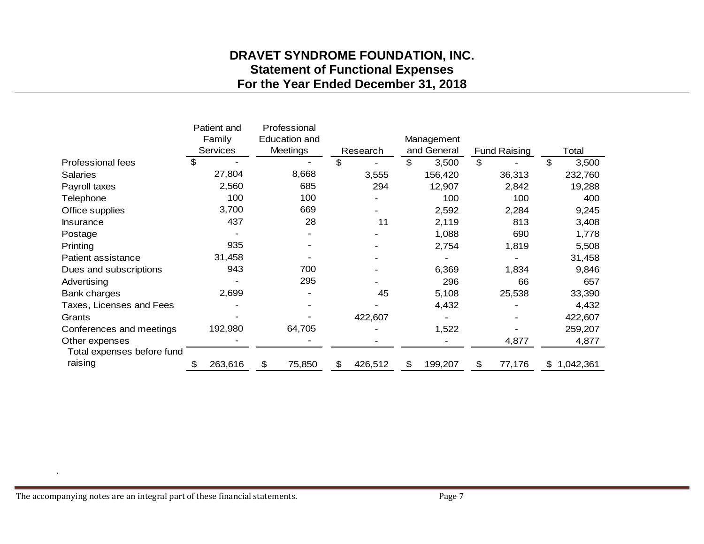# **DRAVET SYNDROME FOUNDATION, INC. Statement of Functional Expenses For the Year Ended December 31, 2018**

|                            | Patient and     | Professional         |               |               |    |                     |     |           |
|----------------------------|-----------------|----------------------|---------------|---------------|----|---------------------|-----|-----------|
|                            | Family          | <b>Education and</b> |               | Management    |    |                     |     |           |
|                            | <b>Services</b> | <b>Meetings</b>      | Research      | and General   |    | <b>Fund Raising</b> |     | Total     |
| <b>Professional fees</b>   | \$              |                      | \$            | \$<br>3,500   | \$ |                     | \$. | 3,500     |
| <b>Salaries</b>            | 27,804          | 8,668                | 3,555         | 156,420       |    | 36,313              |     | 232,760   |
| Payroll taxes              | 2,560           | 685                  | 294           | 12,907        |    | 2,842               |     | 19,288    |
| Telephone                  | 100             | 100                  |               | 100           |    | 100                 |     | 400       |
| Office supplies            | 3,700           | 669                  |               | 2,592         |    | 2,284               |     | 9,245     |
| <b>Insurance</b>           | 437             | 28                   | 11            | 2,119         |    | 813                 |     | 3,408     |
| Postage                    |                 |                      |               | 1,088         |    | 690                 |     | 1,778     |
| Printing                   | 935             | $\blacksquare$       |               | 2,754         |    | 1,819               |     | 5,508     |
| Patient assistance         | 31,458          |                      |               |               |    |                     |     | 31,458    |
| Dues and subscriptions     | 943             | 700                  |               | 6,369         |    | 1,834               |     | 9,846     |
| Advertising                |                 | 295                  |               | 296           |    | 66                  |     | 657       |
| Bank charges               | 2,699           |                      | 45            | 5,108         |    | 25,538              |     | 33,390    |
| Taxes, Licenses and Fees   |                 |                      |               | 4,432         |    |                     |     | 4,432     |
| Grants                     |                 |                      | 422,607       |               |    |                     |     | 422,607   |
| Conferences and meetings   | 192,980         | 64,705               |               | 1,522         |    |                     |     | 259,207   |
| Other expenses             |                 |                      |               |               |    | 4,877               |     | 4,877     |
| Total expenses before fund |                 |                      |               |               |    |                     |     |           |
| raising                    | 263,616         | \$<br>75,850         | \$<br>426,512 | \$<br>199,207 | S  | 77,176              | \$  | 1,042,361 |

.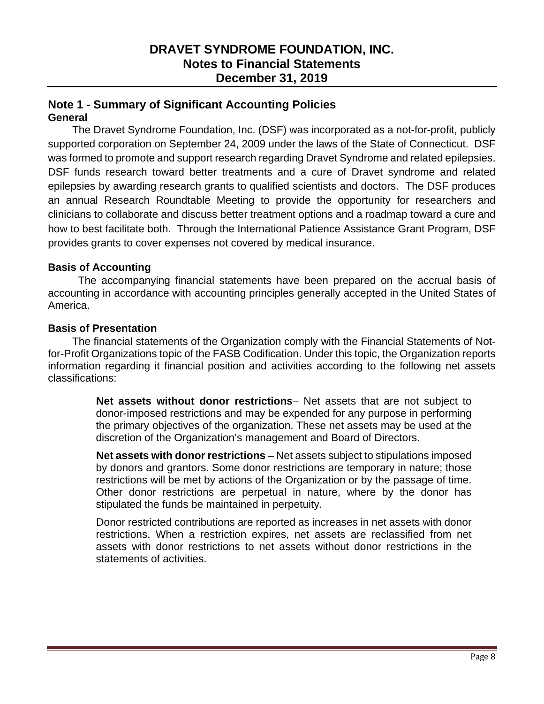### **Note 1 - Summary of Significant Accounting Policies General**

The Dravet Syndrome Foundation, Inc. (DSF) was incorporated as a not-for-profit, publicly supported corporation on September 24, 2009 under the laws of the State of Connecticut. DSF was formed to promote and support research regarding Dravet Syndrome and related epilepsies. DSF funds research toward better treatments and a cure of Dravet syndrome and related epilepsies by awarding research grants to qualified scientists and doctors. The DSF produces an annual Research Roundtable Meeting to provide the opportunity for researchers and clinicians to collaborate and discuss better treatment options and a roadmap toward a cure and how to best facilitate both. Through the International Patience Assistance Grant Program, DSF provides grants to cover expenses not covered by medical insurance.

## **Basis of Accounting**

 The accompanying financial statements have been prepared on the accrual basis of accounting in accordance with accounting principles generally accepted in the United States of America.

## **Basis of Presentation**

The financial statements of the Organization comply with the Financial Statements of Notfor-Profit Organizations topic of the FASB Codification. Under this topic, the Organization reports information regarding it financial position and activities according to the following net assets classifications:

> **Net assets without donor restrictions**– Net assets that are not subject to donor-imposed restrictions and may be expended for any purpose in performing the primary objectives of the organization. These net assets may be used at the discretion of the Organization's management and Board of Directors.

> **Net assets with donor restrictions** – Net assets subject to stipulations imposed by donors and grantors. Some donor restrictions are temporary in nature; those restrictions will be met by actions of the Organization or by the passage of time. Other donor restrictions are perpetual in nature, where by the donor has stipulated the funds be maintained in perpetuity.

> Donor restricted contributions are reported as increases in net assets with donor restrictions. When a restriction expires, net assets are reclassified from net assets with donor restrictions to net assets without donor restrictions in the statements of activities.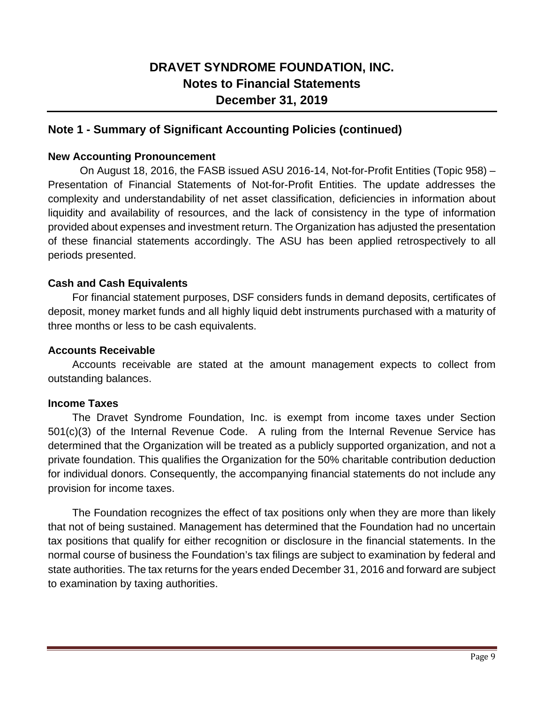## **Note 1 - Summary of Significant Accounting Policies (continued)**

#### **New Accounting Pronouncement**

On August 18, 2016, the FASB issued ASU 2016-14, Not-for-Profit Entities (Topic 958) – Presentation of Financial Statements of Not-for-Profit Entities. The update addresses the complexity and understandability of net asset classification, deficiencies in information about liquidity and availability of resources, and the lack of consistency in the type of information provided about expenses and investment return. The Organization has adjusted the presentation of these financial statements accordingly. The ASU has been applied retrospectively to all periods presented.

#### **Cash and Cash Equivalents**

For financial statement purposes, DSF considers funds in demand deposits, certificates of deposit, money market funds and all highly liquid debt instruments purchased with a maturity of three months or less to be cash equivalents.

#### **Accounts Receivable**

Accounts receivable are stated at the amount management expects to collect from outstanding balances.

#### **Income Taxes**

The Dravet Syndrome Foundation, Inc. is exempt from income taxes under Section 501(c)(3) of the Internal Revenue Code. A ruling from the Internal Revenue Service has determined that the Organization will be treated as a publicly supported organization, and not a private foundation. This qualifies the Organization for the 50% charitable contribution deduction for individual donors. Consequently, the accompanying financial statements do not include any provision for income taxes.

The Foundation recognizes the effect of tax positions only when they are more than likely that not of being sustained. Management has determined that the Foundation had no uncertain tax positions that qualify for either recognition or disclosure in the financial statements. In the normal course of business the Foundation's tax filings are subject to examination by federal and state authorities. The tax returns for the years ended December 31, 2016 and forward are subject to examination by taxing authorities.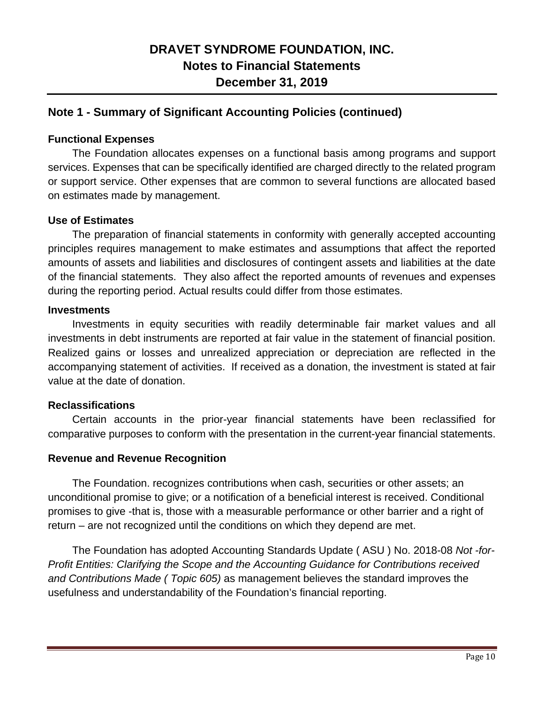## **Note 1 - Summary of Significant Accounting Policies (continued)**

#### **Functional Expenses**

The Foundation allocates expenses on a functional basis among programs and support services. Expenses that can be specifically identified are charged directly to the related program or support service. Other expenses that are common to several functions are allocated based on estimates made by management.

#### **Use of Estimates**

The preparation of financial statements in conformity with generally accepted accounting principles requires management to make estimates and assumptions that affect the reported amounts of assets and liabilities and disclosures of contingent assets and liabilities at the date of the financial statements. They also affect the reported amounts of revenues and expenses during the reporting period. Actual results could differ from those estimates.

#### **Investments**

Investments in equity securities with readily determinable fair market values and all investments in debt instruments are reported at fair value in the statement of financial position. Realized gains or losses and unrealized appreciation or depreciation are reflected in the accompanying statement of activities. If received as a donation, the investment is stated at fair value at the date of donation.

#### **Reclassifications**

Certain accounts in the prior-year financial statements have been reclassified for comparative purposes to conform with the presentation in the current-year financial statements.

#### **Revenue and Revenue Recognition**

The Foundation. recognizes contributions when cash, securities or other assets; an unconditional promise to give; or a notification of a beneficial interest is received. Conditional promises to give -that is, those with a measurable performance or other barrier and a right of return – are not recognized until the conditions on which they depend are met.

The Foundation has adopted Accounting Standards Update ( ASU ) No. 2018-08 *Not -for-Profit Entities: Clarifying the Scope and the Accounting Guidance for Contributions received and Contributions Made ( Topic 605)* as management believes the standard improves the usefulness and understandability of the Foundation's financial reporting.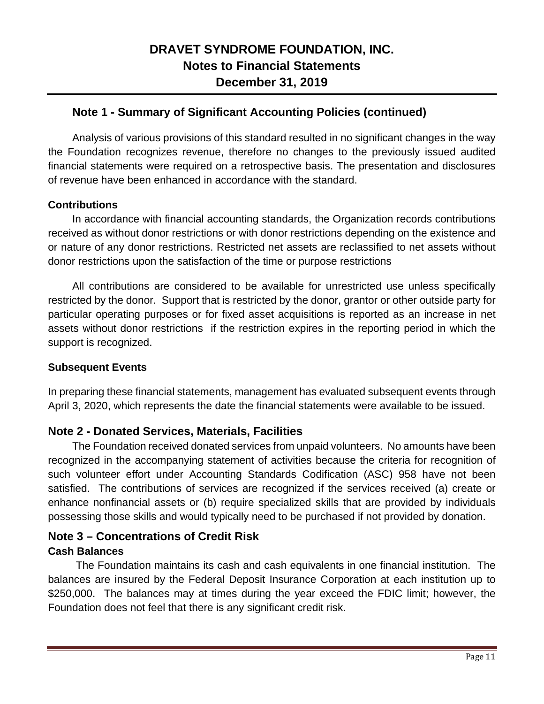# **Note 1 - Summary of Significant Accounting Policies (continued)**

Analysis of various provisions of this standard resulted in no significant changes in the way the Foundation recognizes revenue, therefore no changes to the previously issued audited financial statements were required on a retrospective basis. The presentation and disclosures of revenue have been enhanced in accordance with the standard.

#### **Contributions**

In accordance with financial accounting standards, the Organization records contributions received as without donor restrictions or with donor restrictions depending on the existence and or nature of any donor restrictions. Restricted net assets are reclassified to net assets without donor restrictions upon the satisfaction of the time or purpose restrictions

All contributions are considered to be available for unrestricted use unless specifically restricted by the donor. Support that is restricted by the donor, grantor or other outside party for particular operating purposes or for fixed asset acquisitions is reported as an increase in net assets without donor restrictions if the restriction expires in the reporting period in which the support is recognized.

#### **Subsequent Events**

In preparing these financial statements, management has evaluated subsequent events through April 3, 2020, which represents the date the financial statements were available to be issued.

## **Note 2 - Donated Services, Materials, Facilities**

The Foundation received donated services from unpaid volunteers. No amounts have been recognized in the accompanying statement of activities because the criteria for recognition of such volunteer effort under Accounting Standards Codification (ASC) 958 have not been satisfied. The contributions of services are recognized if the services received (a) create or enhance nonfinancial assets or (b) require specialized skills that are provided by individuals possessing those skills and would typically need to be purchased if not provided by donation.

## **Note 3 – Concentrations of Credit Risk Cash Balances**

The Foundation maintains its cash and cash equivalents in one financial institution. The balances are insured by the Federal Deposit Insurance Corporation at each institution up to \$250,000. The balances may at times during the year exceed the FDIC limit; however, the Foundation does not feel that there is any significant credit risk.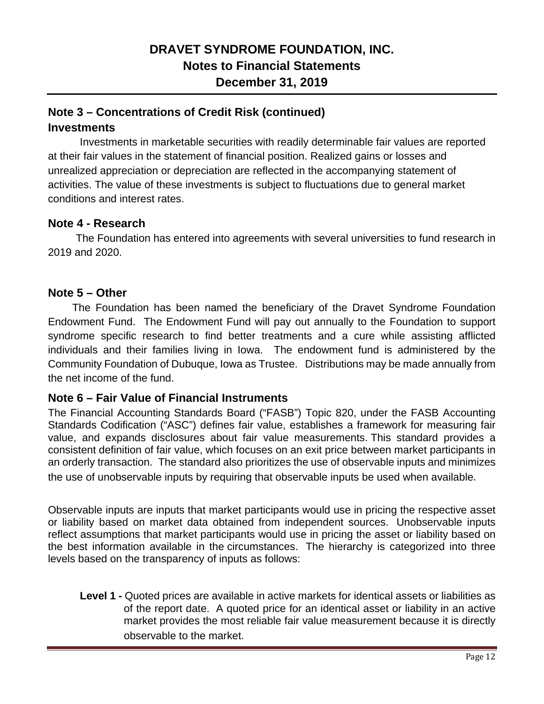# **Note 3 – Concentrations of Credit Risk (continued)**

### **Investments**

Investments in marketable securities with readily determinable fair values are reported at their fair values in the statement of financial position. Realized gains or losses and unrealized appreciation or depreciation are reflected in the accompanying statement of activities. The value of these investments is subject to fluctuations due to general market conditions and interest rates.

## **Note 4 - Research**

The Foundation has entered into agreements with several universities to fund research in 2019 and 2020.

## **Note 5 – Other**

The Foundation has been named the beneficiary of the Dravet Syndrome Foundation Endowment Fund. The Endowment Fund will pay out annually to the Foundation to support syndrome specific research to find better treatments and a cure while assisting afflicted individuals and their families living in Iowa. The endowment fund is administered by the Community Foundation of Dubuque, Iowa as Trustee. Distributions may be made annually from the net income of the fund.

## **Note 6 – Fair Value of Financial Instruments**

The Financial Accounting Standards Board ("FASB") Topic 820, under the FASB Accounting Standards Codification ("ASC") defines fair value, establishes a framework for measuring fair value, and expands disclosures about fair value measurements. This standard provides a consistent definition of fair value, which focuses on an exit price between market participants in an orderly transaction. The standard also prioritizes the use of observable inputs and minimizes the use of unobservable inputs by requiring that observable inputs be used when available.

Observable inputs are inputs that market participants would use in pricing the respective asset or liability based on market data obtained from independent sources. Unobservable inputs reflect assumptions that market participants would use in pricing the asset or liability based on the best information available in the circumstances. The hierarchy is categorized into three levels based on the transparency of inputs as follows:

**Level 1 -** Quoted prices are available in active markets for identical assets or liabilities as of the report date. A quoted price for an identical asset or liability in an active market provides the most reliable fair value measurement because it is directly observable to the market.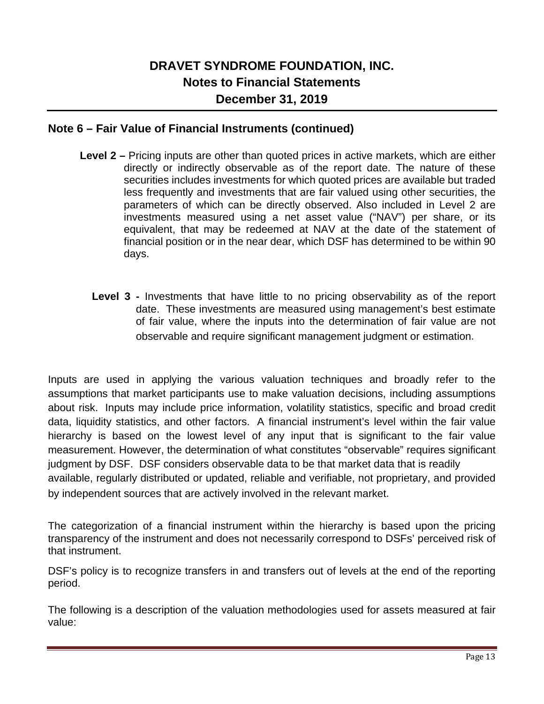### **Note 6 – Fair Value of Financial Instruments (continued)**

- **Level 2 –** Pricing inputs are other than quoted prices in active markets, which are either directly or indirectly observable as of the report date. The nature of these securities includes investments for which quoted prices are available but traded less frequently and investments that are fair valued using other securities, the parameters of which can be directly observed. Also included in Level 2 are investments measured using a net asset value ("NAV") per share, or its equivalent, that may be redeemed at NAV at the date of the statement of financial position or in the near dear, which DSF has determined to be within 90 days.
	- **Level 3 -** Investments that have little to no pricing observability as of the report date. These investments are measured using management's best estimate of fair value, where the inputs into the determination of fair value are not observable and require significant management judgment or estimation.

Inputs are used in applying the various valuation techniques and broadly refer to the assumptions that market participants use to make valuation decisions, including assumptions about risk. Inputs may include price information, volatility statistics, specific and broad credit data, liquidity statistics, and other factors. A financial instrument's level within the fair value hierarchy is based on the lowest level of any input that is significant to the fair value measurement. However, the determination of what constitutes "observable" requires significant judgment by DSF. DSF considers observable data to be that market data that is readily available, regularly distributed or updated, reliable and verifiable, not proprietary, and provided by independent sources that are actively involved in the relevant market.

The categorization of a financial instrument within the hierarchy is based upon the pricing transparency of the instrument and does not necessarily correspond to DSFs' perceived risk of that instrument.

DSF's policy is to recognize transfers in and transfers out of levels at the end of the reporting period.

The following is a description of the valuation methodologies used for assets measured at fair value: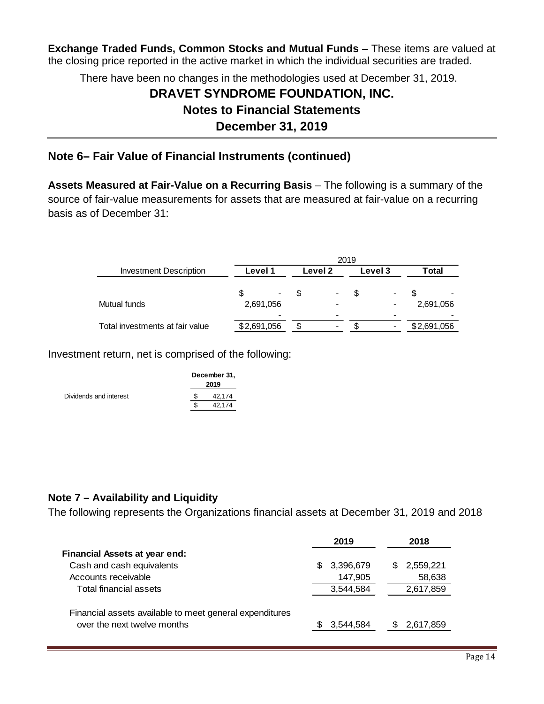**Exchange Traded Funds, Common Stocks and Mutual Funds** – These items are valued at the closing price reported in the active market in which the individual securities are traded.

There have been no changes in the methodologies used at December 31, 2019.

# **DRAVET SYNDROME FOUNDATION, INC. Notes to Financial Statements December 31, 2019**

## **Note 6– Fair Value of Financial Instruments (continued)**

**Assets Measured at Fair-Value on a Recurring Basis** – The following is a summary of the source of fair-value measurements for assets that are measured at fair-value on a recurring basis as of December 31:

|                                 | 2019        |         |            |             |  |  |  |  |  |  |
|---------------------------------|-------------|---------|------------|-------------|--|--|--|--|--|--|
| <b>Investment Description</b>   | Level 1     | Level 2 | Level 3    | Total       |  |  |  |  |  |  |
|                                 | S           | S       | SS<br>$\,$ |             |  |  |  |  |  |  |
| Mutual funds                    | 2,691,056   |         |            | 2,691,056   |  |  |  |  |  |  |
| Total investments at fair value | \$2,691,056 | ъ.      | ъ.         | \$2,691,056 |  |  |  |  |  |  |

Investment return, net is comprised of the following:

|                        | December 31,<br>2019 |  |  |  |
|------------------------|----------------------|--|--|--|
| Dividends and interest | 42.174               |  |  |  |
|                        | 42.174               |  |  |  |

## **Note 7 – Availability and Liquidity**

The following represents the Organizations financial assets at December 31, 2019 and 2018

|                                                                                        | 2019           | 2018             |
|----------------------------------------------------------------------------------------|----------------|------------------|
| <b>Financial Assets at year end:</b>                                                   |                |                  |
| Cash and cash equivalents                                                              | 3,396,679<br>S | 2,559,221<br>SS. |
| Accounts receivable                                                                    | 147,905        | 58,638           |
| Total financial assets                                                                 | 3,544,584      | 2,617,859        |
| Financial assets available to meet general expenditures<br>over the next twelve months | 3,544,584      | 2,617,859        |
|                                                                                        |                |                  |